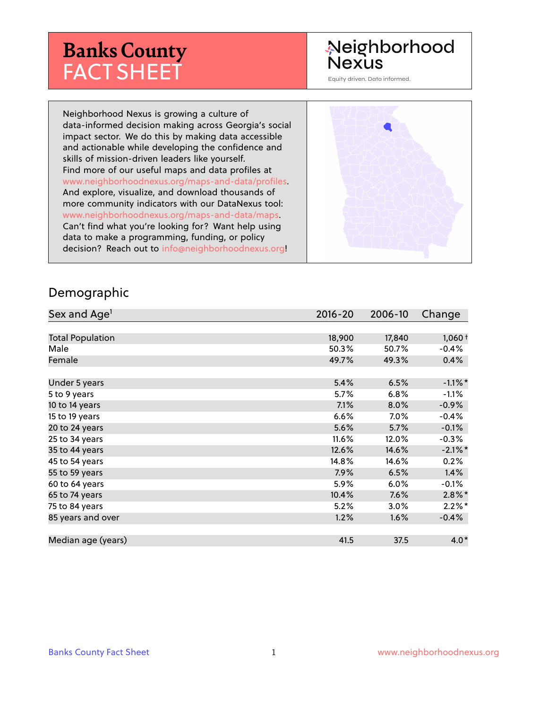# **Banks County** FACT SHEET

# Neighborhood **Nexus**

Equity driven. Data informed.

Neighborhood Nexus is growing a culture of data-informed decision making across Georgia's social impact sector. We do this by making data accessible and actionable while developing the confidence and skills of mission-driven leaders like yourself. Find more of our useful maps and data profiles at www.neighborhoodnexus.org/maps-and-data/profiles. And explore, visualize, and download thousands of more community indicators with our DataNexus tool: www.neighborhoodnexus.org/maps-and-data/maps. Can't find what you're looking for? Want help using data to make a programming, funding, or policy decision? Reach out to [info@neighborhoodnexus.org!](mailto:info@neighborhoodnexus.org)



#### Demographic

| Sex and Age <sup>1</sup> | $2016 - 20$ | 2006-10 | Change     |
|--------------------------|-------------|---------|------------|
|                          |             |         |            |
| <b>Total Population</b>  | 18,900      | 17,840  | $1,060+$   |
| Male                     | 50.3%       | 50.7%   | $-0.4%$    |
| Female                   | 49.7%       | 49.3%   | 0.4%       |
|                          |             |         |            |
| Under 5 years            | 5.4%        | 6.5%    | $-1.1\%$ * |
| 5 to 9 years             | 5.7%        | 6.8%    | $-1.1%$    |
| 10 to 14 years           | 7.1%        | 8.0%    | $-0.9\%$   |
| 15 to 19 years           | 6.6%        | 7.0%    | $-0.4%$    |
| 20 to 24 years           | 5.6%        | 5.7%    | $-0.1%$    |
| 25 to 34 years           | 11.6%       | 12.0%   | $-0.3%$    |
| 35 to 44 years           | 12.6%       | 14.6%   | $-2.1\%$ * |
| 45 to 54 years           | 14.8%       | 14.6%   | 0.2%       |
| 55 to 59 years           | 7.9%        | 6.5%    | 1.4%       |
| 60 to 64 years           | 5.9%        | 6.0%    | $-0.1\%$   |
| 65 to 74 years           | 10.4%       | 7.6%    | $2.8\%$ *  |
| 75 to 84 years           | 5.2%        | 3.0%    | $2.2\%$ *  |
| 85 years and over        | 1.2%        | 1.6%    | $-0.4%$    |
|                          |             |         |            |
| Median age (years)       | 41.5        | 37.5    | $4.0*$     |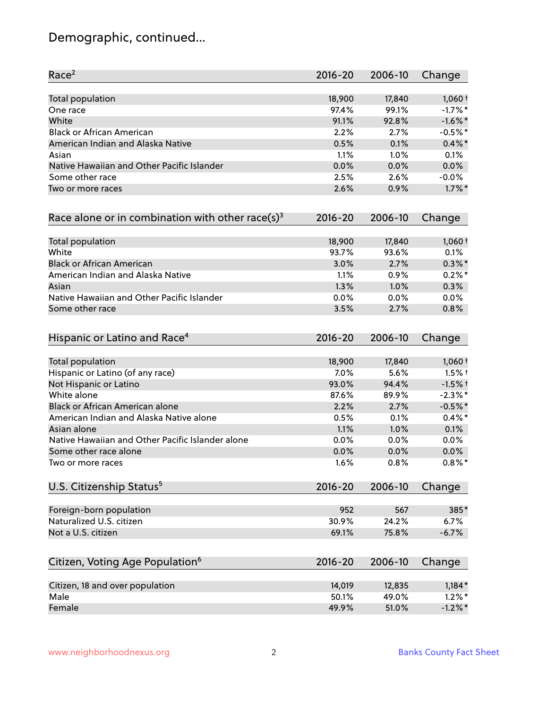# Demographic, continued...

| Race <sup>2</sup>                                            | $2016 - 20$ | 2006-10 | Change     |
|--------------------------------------------------------------|-------------|---------|------------|
| <b>Total population</b>                                      | 18,900      | 17,840  | $1,060+$   |
| One race                                                     | 97.4%       | 99.1%   | $-1.7%$ *  |
| White                                                        | 91.1%       | 92.8%   | $-1.6\%$ * |
| <b>Black or African American</b>                             | 2.2%        | 2.7%    | $-0.5%$ *  |
| American Indian and Alaska Native                            | 0.5%        | 0.1%    | $0.4\%$ *  |
| Asian                                                        | 1.1%        | 1.0%    | 0.1%       |
| Native Hawaiian and Other Pacific Islander                   | 0.0%        | 0.0%    | 0.0%       |
| Some other race                                              | 2.5%        | 2.6%    | $-0.0\%$   |
| Two or more races                                            | 2.6%        | 0.9%    | $1.7\%$ *  |
| Race alone or in combination with other race(s) <sup>3</sup> | $2016 - 20$ | 2006-10 | Change     |
| Total population                                             | 18,900      | 17,840  | $1,060+$   |
| White                                                        | 93.7%       | 93.6%   | 0.1%       |
| <b>Black or African American</b>                             | 3.0%        | 2.7%    | $0.3\%$ *  |
| American Indian and Alaska Native                            | 1.1%        | 0.9%    | $0.2%$ *   |
| Asian                                                        | 1.3%        | 1.0%    | 0.3%       |
| Native Hawaiian and Other Pacific Islander                   | 0.0%        | 0.0%    | 0.0%       |
| Some other race                                              | 3.5%        | 2.7%    | 0.8%       |
| Hispanic or Latino and Race <sup>4</sup>                     | $2016 - 20$ | 2006-10 | Change     |
| <b>Total population</b>                                      | 18,900      | 17,840  | $1,060+$   |
| Hispanic or Latino (of any race)                             | 7.0%        | 5.6%    | $1.5%$ †   |
| Not Hispanic or Latino                                       | 93.0%       | 94.4%   | $-1.5%$ †  |
| White alone                                                  | 87.6%       | 89.9%   | $-2.3\%$ * |
| Black or African American alone                              | 2.2%        | 2.7%    | $-0.5%$ *  |
| American Indian and Alaska Native alone                      | 0.5%        | 0.1%    | $0.4\%$ *  |
| Asian alone                                                  | 1.1%        | 1.0%    | 0.1%       |
| Native Hawaiian and Other Pacific Islander alone             | 0.0%        | 0.0%    | 0.0%       |
| Some other race alone                                        | 0.0%        | 0.0%    | 0.0%       |
| Two or more races                                            | 1.6%        | 0.8%    | $0.8\%$ *  |
| U.S. Citizenship Status <sup>5</sup>                         | $2016 - 20$ | 2006-10 | Change     |
| Foreign-born population                                      | 952         | 567     | 385*       |
| Naturalized U.S. citizen                                     | 30.9%       | 24.2%   | 6.7%       |
| Not a U.S. citizen                                           | 69.1%       | 75.8%   | $-6.7%$    |
| Citizen, Voting Age Population <sup>6</sup>                  | $2016 - 20$ | 2006-10 | Change     |
|                                                              |             |         |            |
| Citizen, 18 and over population                              | 14,019      | 12,835  | $1,184*$   |
| Male                                                         | 50.1%       | 49.0%   | $1.2\%$ *  |
| Female                                                       | 49.9%       | 51.0%   | $-1.2%$ *  |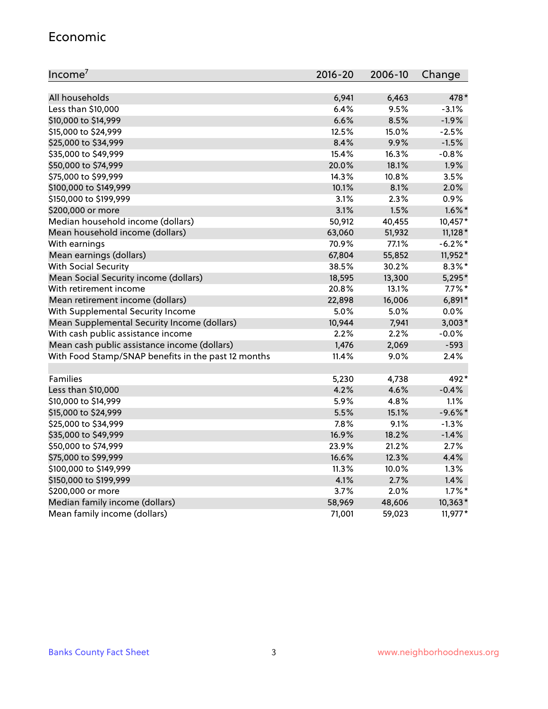#### Economic

| Income <sup>7</sup>                                 | $2016 - 20$ | 2006-10 | Change     |
|-----------------------------------------------------|-------------|---------|------------|
|                                                     |             |         |            |
| All households                                      | 6,941       | 6,463   | 478*       |
| Less than \$10,000                                  | 6.4%        | 9.5%    | $-3.1%$    |
| \$10,000 to \$14,999                                | 6.6%        | 8.5%    | $-1.9%$    |
| \$15,000 to \$24,999                                | 12.5%       | 15.0%   | $-2.5%$    |
| \$25,000 to \$34,999                                | 8.4%        | 9.9%    | $-1.5%$    |
| \$35,000 to \$49,999                                | 15.4%       | 16.3%   | $-0.8%$    |
| \$50,000 to \$74,999                                | 20.0%       | 18.1%   | 1.9%       |
| \$75,000 to \$99,999                                | 14.3%       | 10.8%   | 3.5%       |
| \$100,000 to \$149,999                              | 10.1%       | 8.1%    | 2.0%       |
| \$150,000 to \$199,999                              | 3.1%        | 2.3%    | 0.9%       |
| \$200,000 or more                                   | 3.1%        | 1.5%    | $1.6\%$ *  |
| Median household income (dollars)                   | 50,912      | 40,455  | 10,457*    |
| Mean household income (dollars)                     | 63,060      | 51,932  | $11,128*$  |
| With earnings                                       | 70.9%       | 77.1%   | $-6.2\%$ * |
| Mean earnings (dollars)                             | 67,804      | 55,852  | 11,952*    |
| <b>With Social Security</b>                         | 38.5%       | 30.2%   | $8.3\%$ *  |
| Mean Social Security income (dollars)               | 18,595      | 13,300  | 5,295*     |
| With retirement income                              | 20.8%       | 13.1%   | $7.7\%$ *  |
| Mean retirement income (dollars)                    | 22,898      | 16,006  | $6,891*$   |
| With Supplemental Security Income                   | 5.0%        | 5.0%    | 0.0%       |
| Mean Supplemental Security Income (dollars)         | 10,944      | 7,941   | $3,003*$   |
| With cash public assistance income                  | 2.2%        | 2.2%    | $-0.0%$    |
| Mean cash public assistance income (dollars)        | 1,476       | 2,069   | $-593$     |
| With Food Stamp/SNAP benefits in the past 12 months | 11.4%       | 9.0%    | 2.4%       |
|                                                     |             |         |            |
| Families                                            | 5,230       | 4,738   | 492*       |
| Less than \$10,000                                  | 4.2%        | 4.6%    | $-0.4%$    |
| \$10,000 to \$14,999                                | 5.9%        | 4.8%    | 1.1%       |
| \$15,000 to \$24,999                                | 5.5%        | 15.1%   | $-9.6%$ *  |
| \$25,000 to \$34,999                                | 7.8%        | 9.1%    | $-1.3%$    |
| \$35,000 to \$49,999                                | 16.9%       | 18.2%   | $-1.4%$    |
| \$50,000 to \$74,999                                | 23.9%       | 21.2%   | 2.7%       |
| \$75,000 to \$99,999                                | 16.6%       | 12.3%   | 4.4%       |
| \$100,000 to \$149,999                              | 11.3%       | 10.0%   | 1.3%       |
| \$150,000 to \$199,999                              | 4.1%        | 2.7%    | 1.4%       |
| \$200,000 or more                                   | 3.7%        | 2.0%    | $1.7\%$ *  |
| Median family income (dollars)                      | 58,969      | 48,606  | 10,363*    |
| Mean family income (dollars)                        | 71,001      | 59,023  | $11,977*$  |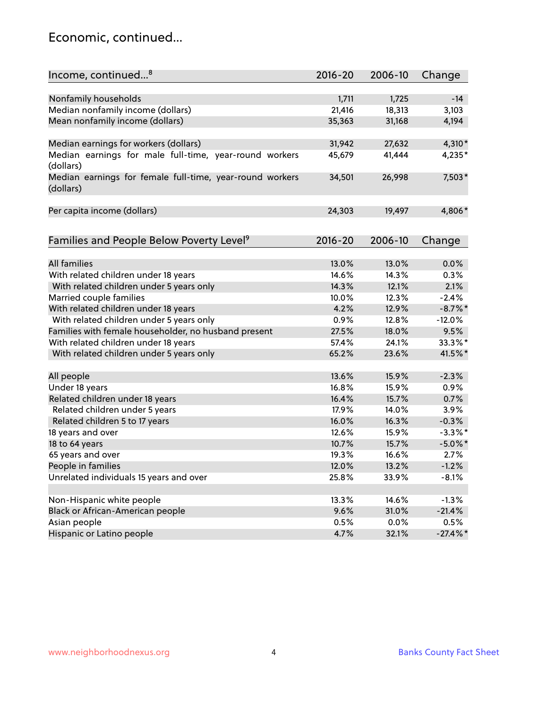### Economic, continued...

| Nonfamily households<br>1,711<br>1,725<br>$-14$<br>Median nonfamily income (dollars)<br>21,416<br>18,313<br>3,103<br>Mean nonfamily income (dollars)<br>35,363<br>31,168<br>4,194<br>Median earnings for workers (dollars)<br>4,310*<br>31,942<br>27,632<br>Median earnings for male full-time, year-round workers<br>41,444<br>45,679<br>4,235*<br>(dollars)<br>Median earnings for female full-time, year-round workers<br>7,503*<br>26,998<br>34,501<br>(dollars)<br>4,806*<br>Per capita income (dollars)<br>24,303<br>19,497<br>Families and People Below Poverty Level <sup>9</sup><br>$2016 - 20$<br>2006-10<br>Change<br><b>All families</b><br>13.0%<br>13.0%<br>0.0%<br>With related children under 18 years<br>14.6%<br>14.3%<br>0.3%<br>With related children under 5 years only<br>14.3%<br>12.1%<br>2.1%<br>Married couple families<br>10.0%<br>$-2.4%$<br>12.3%<br>With related children under 18 years<br>4.2%<br>$-8.7\%$ *<br>12.9% |
|-------------------------------------------------------------------------------------------------------------------------------------------------------------------------------------------------------------------------------------------------------------------------------------------------------------------------------------------------------------------------------------------------------------------------------------------------------------------------------------------------------------------------------------------------------------------------------------------------------------------------------------------------------------------------------------------------------------------------------------------------------------------------------------------------------------------------------------------------------------------------------------------------------------------------------------------------------|
|                                                                                                                                                                                                                                                                                                                                                                                                                                                                                                                                                                                                                                                                                                                                                                                                                                                                                                                                                       |
|                                                                                                                                                                                                                                                                                                                                                                                                                                                                                                                                                                                                                                                                                                                                                                                                                                                                                                                                                       |
|                                                                                                                                                                                                                                                                                                                                                                                                                                                                                                                                                                                                                                                                                                                                                                                                                                                                                                                                                       |
|                                                                                                                                                                                                                                                                                                                                                                                                                                                                                                                                                                                                                                                                                                                                                                                                                                                                                                                                                       |
|                                                                                                                                                                                                                                                                                                                                                                                                                                                                                                                                                                                                                                                                                                                                                                                                                                                                                                                                                       |
|                                                                                                                                                                                                                                                                                                                                                                                                                                                                                                                                                                                                                                                                                                                                                                                                                                                                                                                                                       |
|                                                                                                                                                                                                                                                                                                                                                                                                                                                                                                                                                                                                                                                                                                                                                                                                                                                                                                                                                       |
|                                                                                                                                                                                                                                                                                                                                                                                                                                                                                                                                                                                                                                                                                                                                                                                                                                                                                                                                                       |
|                                                                                                                                                                                                                                                                                                                                                                                                                                                                                                                                                                                                                                                                                                                                                                                                                                                                                                                                                       |
|                                                                                                                                                                                                                                                                                                                                                                                                                                                                                                                                                                                                                                                                                                                                                                                                                                                                                                                                                       |
|                                                                                                                                                                                                                                                                                                                                                                                                                                                                                                                                                                                                                                                                                                                                                                                                                                                                                                                                                       |
|                                                                                                                                                                                                                                                                                                                                                                                                                                                                                                                                                                                                                                                                                                                                                                                                                                                                                                                                                       |
|                                                                                                                                                                                                                                                                                                                                                                                                                                                                                                                                                                                                                                                                                                                                                                                                                                                                                                                                                       |
|                                                                                                                                                                                                                                                                                                                                                                                                                                                                                                                                                                                                                                                                                                                                                                                                                                                                                                                                                       |
|                                                                                                                                                                                                                                                                                                                                                                                                                                                                                                                                                                                                                                                                                                                                                                                                                                                                                                                                                       |
|                                                                                                                                                                                                                                                                                                                                                                                                                                                                                                                                                                                                                                                                                                                                                                                                                                                                                                                                                       |
|                                                                                                                                                                                                                                                                                                                                                                                                                                                                                                                                                                                                                                                                                                                                                                                                                                                                                                                                                       |
| With related children under 5 years only<br>0.9%<br>12.8%<br>$-12.0%$                                                                                                                                                                                                                                                                                                                                                                                                                                                                                                                                                                                                                                                                                                                                                                                                                                                                                 |
| Families with female householder, no husband present<br>9.5%<br>27.5%<br>18.0%                                                                                                                                                                                                                                                                                                                                                                                                                                                                                                                                                                                                                                                                                                                                                                                                                                                                        |
| 33.3%*<br>With related children under 18 years<br>57.4%<br>24.1%                                                                                                                                                                                                                                                                                                                                                                                                                                                                                                                                                                                                                                                                                                                                                                                                                                                                                      |
| 41.5%*<br>With related children under 5 years only<br>65.2%<br>23.6%                                                                                                                                                                                                                                                                                                                                                                                                                                                                                                                                                                                                                                                                                                                                                                                                                                                                                  |
| $-2.3%$<br>All people<br>13.6%<br>15.9%                                                                                                                                                                                                                                                                                                                                                                                                                                                                                                                                                                                                                                                                                                                                                                                                                                                                                                               |
| Under 18 years<br>16.8%<br>15.9%<br>0.9%                                                                                                                                                                                                                                                                                                                                                                                                                                                                                                                                                                                                                                                                                                                                                                                                                                                                                                              |
| Related children under 18 years<br>16.4%<br>15.7%<br>0.7%                                                                                                                                                                                                                                                                                                                                                                                                                                                                                                                                                                                                                                                                                                                                                                                                                                                                                             |
| Related children under 5 years<br>17.9%<br>3.9%<br>14.0%                                                                                                                                                                                                                                                                                                                                                                                                                                                                                                                                                                                                                                                                                                                                                                                                                                                                                              |
| 16.0%<br>16.3%<br>$-0.3%$<br>Related children 5 to 17 years                                                                                                                                                                                                                                                                                                                                                                                                                                                                                                                                                                                                                                                                                                                                                                                                                                                                                           |
| 12.6%<br>$-3.3\%$ *<br>18 years and over<br>15.9%                                                                                                                                                                                                                                                                                                                                                                                                                                                                                                                                                                                                                                                                                                                                                                                                                                                                                                     |
| 18 to 64 years<br>10.7%<br>15.7%<br>$-5.0\%$ *                                                                                                                                                                                                                                                                                                                                                                                                                                                                                                                                                                                                                                                                                                                                                                                                                                                                                                        |
| 65 years and over<br>2.7%<br>19.3%<br>16.6%                                                                                                                                                                                                                                                                                                                                                                                                                                                                                                                                                                                                                                                                                                                                                                                                                                                                                                           |
| People in families<br>12.0%<br>$-1.2%$<br>13.2%                                                                                                                                                                                                                                                                                                                                                                                                                                                                                                                                                                                                                                                                                                                                                                                                                                                                                                       |
| Unrelated individuals 15 years and over                                                                                                                                                                                                                                                                                                                                                                                                                                                                                                                                                                                                                                                                                                                                                                                                                                                                                                               |
| 25.8%<br>33.9%<br>$-8.1%$                                                                                                                                                                                                                                                                                                                                                                                                                                                                                                                                                                                                                                                                                                                                                                                                                                                                                                                             |
| Non-Hispanic white people<br>13.3%<br>$-1.3%$<br>14.6%                                                                                                                                                                                                                                                                                                                                                                                                                                                                                                                                                                                                                                                                                                                                                                                                                                                                                                |
| Black or African-American people<br>9.6%<br>31.0%<br>$-21.4%$                                                                                                                                                                                                                                                                                                                                                                                                                                                                                                                                                                                                                                                                                                                                                                                                                                                                                         |
| Asian people<br>0.5%<br>0.5%<br>$0.0\%$                                                                                                                                                                                                                                                                                                                                                                                                                                                                                                                                                                                                                                                                                                                                                                                                                                                                                                               |
| Hispanic or Latino people<br>4.7%<br>32.1%<br>$-27.4\%$ *                                                                                                                                                                                                                                                                                                                                                                                                                                                                                                                                                                                                                                                                                                                                                                                                                                                                                             |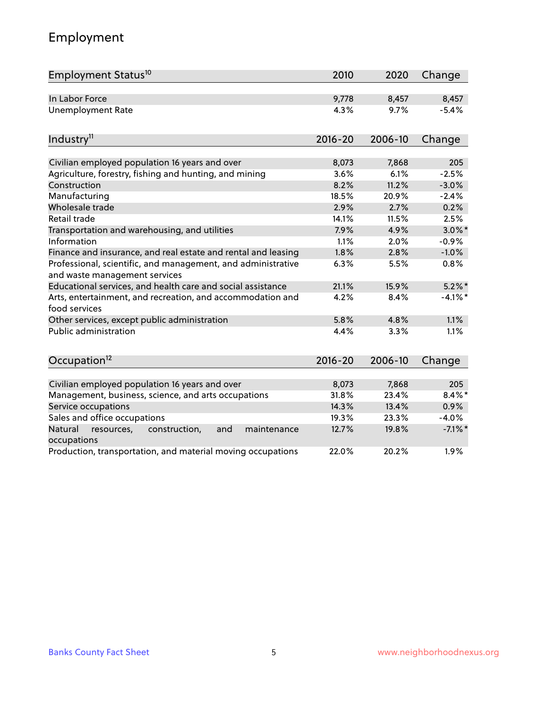# Employment

| Employment Status <sup>10</sup>                                                               | 2010        | 2020    | Change     |
|-----------------------------------------------------------------------------------------------|-------------|---------|------------|
| In Labor Force                                                                                | 9,778       | 8,457   | 8,457      |
| <b>Unemployment Rate</b>                                                                      | 4.3%        | 9.7%    | $-5.4%$    |
| Industry <sup>11</sup>                                                                        | $2016 - 20$ | 2006-10 | Change     |
|                                                                                               |             |         |            |
| Civilian employed population 16 years and over                                                | 8,073       | 7,868   | 205        |
| Agriculture, forestry, fishing and hunting, and mining                                        | 3.6%        | 6.1%    | $-2.5%$    |
| Construction                                                                                  | 8.2%        | 11.2%   | $-3.0%$    |
| Manufacturing                                                                                 | 18.5%       | 20.9%   | $-2.4%$    |
| Wholesale trade                                                                               | 2.9%        | 2.7%    | 0.2%       |
| Retail trade                                                                                  | 14.1%       | 11.5%   | 2.5%       |
| Transportation and warehousing, and utilities                                                 | 7.9%        | 4.9%    | $3.0\%$ *  |
| Information                                                                                   | 1.1%        | 2.0%    | $-0.9%$    |
| Finance and insurance, and real estate and rental and leasing                                 | 1.8%        | 2.8%    | $-1.0%$    |
| Professional, scientific, and management, and administrative<br>and waste management services | 6.3%        | 5.5%    | 0.8%       |
| Educational services, and health care and social assistance                                   | 21.1%       | 15.9%   | $5.2\%$ *  |
| Arts, entertainment, and recreation, and accommodation and<br>food services                   | 4.2%        | 8.4%    | $-4.1%$ *  |
| Other services, except public administration                                                  | 5.8%        | 4.8%    | 1.1%       |
| Public administration                                                                         | 4.4%        | 3.3%    | 1.1%       |
| Occupation <sup>12</sup>                                                                      | $2016 - 20$ | 2006-10 | Change     |
|                                                                                               |             |         |            |
| Civilian employed population 16 years and over                                                | 8,073       | 7,868   | 205        |
| Management, business, science, and arts occupations                                           | 31.8%       | 23.4%   | $8.4\%$ *  |
| Service occupations                                                                           | 14.3%       | 13.4%   | 0.9%       |
| Sales and office occupations                                                                  | 19.3%       | 23.3%   | $-4.0%$    |
| Natural<br>and<br>maintenance<br>resources,<br>construction,<br>occupations                   | 12.7%       | 19.8%   | $-7.1\%$ * |
| Production, transportation, and material moving occupations                                   | 22.0%       | 20.2%   | 1.9%       |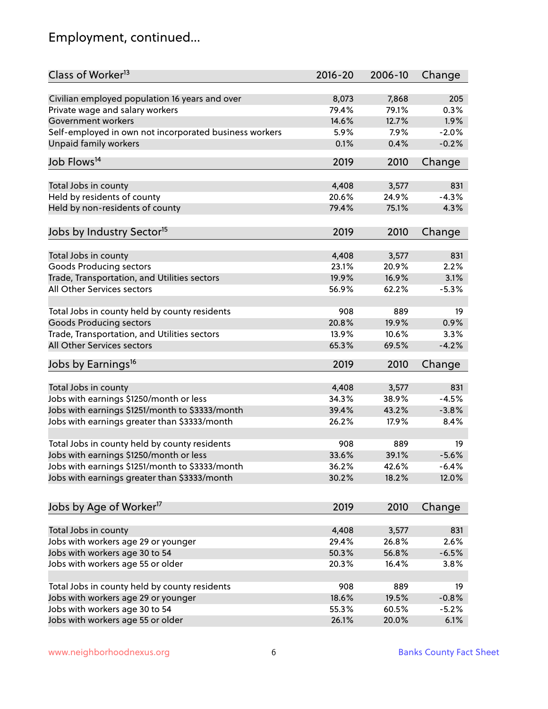# Employment, continued...

| Class of Worker <sup>13</sup>                          | $2016 - 20$ | 2006-10 | Change  |
|--------------------------------------------------------|-------------|---------|---------|
| Civilian employed population 16 years and over         | 8,073       | 7,868   | 205     |
| Private wage and salary workers                        | 79.4%       | 79.1%   | 0.3%    |
| Government workers                                     | 14.6%       | 12.7%   | 1.9%    |
| Self-employed in own not incorporated business workers | 5.9%        | 7.9%    | $-2.0%$ |
| Unpaid family workers                                  | 0.1%        | 0.4%    | $-0.2%$ |
|                                                        |             |         |         |
| Job Flows <sup>14</sup>                                | 2019        | 2010    | Change  |
| Total Jobs in county                                   | 4,408       | 3,577   | 831     |
| Held by residents of county                            | 20.6%       | 24.9%   | $-4.3%$ |
| Held by non-residents of county                        | 79.4%       | 75.1%   | 4.3%    |
|                                                        |             |         |         |
| Jobs by Industry Sector <sup>15</sup>                  | 2019        | 2010    | Change  |
|                                                        |             |         |         |
| Total Jobs in county                                   | 4,408       | 3,577   | 831     |
| Goods Producing sectors                                | 23.1%       | 20.9%   | 2.2%    |
| Trade, Transportation, and Utilities sectors           | 19.9%       | 16.9%   | 3.1%    |
| All Other Services sectors                             | 56.9%       | 62.2%   | $-5.3%$ |
| Total Jobs in county held by county residents          | 908         | 889     | 19      |
| <b>Goods Producing sectors</b>                         | 20.8%       | 19.9%   | 0.9%    |
| Trade, Transportation, and Utilities sectors           | 13.9%       | 10.6%   | 3.3%    |
| All Other Services sectors                             | 65.3%       | 69.5%   | $-4.2%$ |
| Jobs by Earnings <sup>16</sup>                         | 2019        | 2010    | Change  |
|                                                        |             |         |         |
| Total Jobs in county                                   | 4,408       | 3,577   | 831     |
| Jobs with earnings \$1250/month or less                | 34.3%       | 38.9%   | $-4.5%$ |
| Jobs with earnings \$1251/month to \$3333/month        | 39.4%       | 43.2%   | $-3.8%$ |
| Jobs with earnings greater than \$3333/month           | 26.2%       | 17.9%   | 8.4%    |
|                                                        |             |         |         |
| Total Jobs in county held by county residents          | 908         | 889     | 19      |
| Jobs with earnings \$1250/month or less                | 33.6%       | 39.1%   | $-5.6%$ |
| Jobs with earnings \$1251/month to \$3333/month        | 36.2%       | 42.6%   | -6.4%   |
| Jobs with earnings greater than \$3333/month           | 30.2%       | 18.2%   | 12.0%   |
|                                                        |             |         |         |
| Jobs by Age of Worker <sup>17</sup>                    | 2019        | 2010    | Change  |
| Total Jobs in county                                   | 4,408       | 3,577   | 831     |
| Jobs with workers age 29 or younger                    | 29.4%       | 26.8%   | 2.6%    |
| Jobs with workers age 30 to 54                         | 50.3%       | 56.8%   | $-6.5%$ |
| Jobs with workers age 55 or older                      | 20.3%       | 16.4%   | 3.8%    |
|                                                        |             |         |         |
| Total Jobs in county held by county residents          | 908         | 889     | 19      |
| Jobs with workers age 29 or younger                    | 18.6%       | 19.5%   | $-0.8%$ |
| Jobs with workers age 30 to 54                         | 55.3%       | 60.5%   | $-5.2%$ |
| Jobs with workers age 55 or older                      | 26.1%       | 20.0%   | 6.1%    |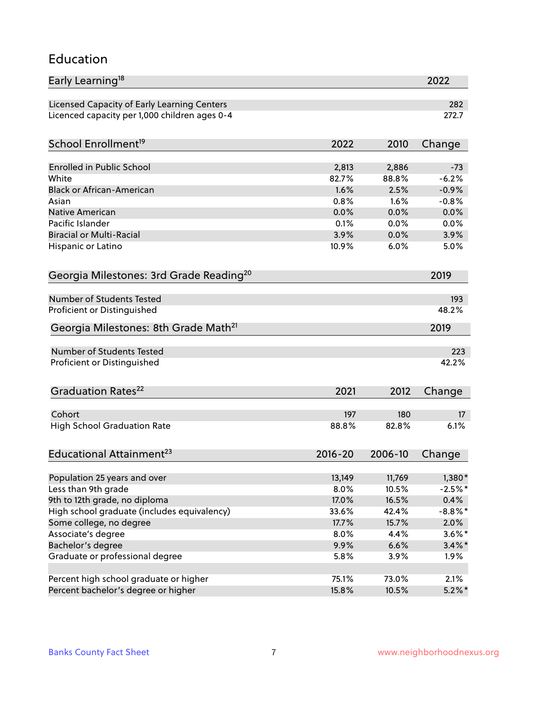#### Education

| Early Learning <sup>18</sup>                        |                |                 | 2022                  |
|-----------------------------------------------------|----------------|-----------------|-----------------------|
| Licensed Capacity of Early Learning Centers         |                |                 | 282                   |
| Licenced capacity per 1,000 children ages 0-4       |                |                 | 272.7                 |
| School Enrollment <sup>19</sup>                     | 2022           | 2010            | Change                |
|                                                     |                |                 |                       |
| <b>Enrolled in Public School</b>                    | 2,813          | 2,886           | $-73$                 |
| White                                               | 82.7%          | 88.8%           | $-6.2%$               |
| <b>Black or African-American</b>                    | 1.6%           | 2.5%            | $-0.9%$               |
| Asian                                               | 0.8%           | 1.6%            | $-0.8%$               |
| Native American                                     | 0.0%           | 0.0%            | 0.0%                  |
| Pacific Islander                                    | 0.1%           | 0.0%            | 0.0%                  |
| <b>Biracial or Multi-Racial</b>                     | 3.9%           | 0.0%            | 3.9%                  |
| Hispanic or Latino                                  | 10.9%          | 6.0%            | 5.0%                  |
| Georgia Milestones: 3rd Grade Reading <sup>20</sup> |                |                 | 2019                  |
|                                                     |                |                 |                       |
| Number of Students Tested                           |                |                 | 193                   |
| Proficient or Distinguished                         |                |                 | 48.2%                 |
| Georgia Milestones: 8th Grade Math <sup>21</sup>    |                |                 | 2019                  |
| <b>Number of Students Tested</b>                    |                |                 | 223                   |
| Proficient or Distinguished                         |                |                 | 42.2%                 |
|                                                     |                |                 |                       |
| Graduation Rates <sup>22</sup>                      | 2021           | 2012            | Change                |
| Cohort                                              | 197            | 180             | 17                    |
| <b>High School Graduation Rate</b>                  | 88.8%          | 82.8%           | 6.1%                  |
|                                                     |                |                 |                       |
| Educational Attainment <sup>23</sup>                | $2016 - 20$    | 2006-10         | Change                |
|                                                     |                |                 |                       |
| Population 25 years and over<br>Less than 9th grade | 13,149<br>8.0% | 11,769<br>10.5% | $1,380*$<br>$-2.5%$ * |
| 9th to 12th grade, no diploma                       | 17.0%          | 16.5%           | 0.4%                  |
|                                                     |                | 42.4%           | $-8.8\%$ *            |
| High school graduate (includes equivalency)         | 33.6%          |                 |                       |
| Some college, no degree                             | 17.7%          | 15.7%           | 2.0%                  |
| Associate's degree                                  | 8.0%           | 4.4%            | $3.6\%$ *             |
| Bachelor's degree                                   | 9.9%           | 6.6%            | $3.4\%$ *             |
| Graduate or professional degree                     | 5.8%           | 3.9%            | $1.9\%$               |
| Percent high school graduate or higher              | 75.1%          | 73.0%           | 2.1%                  |
| Percent bachelor's degree or higher                 | 15.8%          | 10.5%           | $5.2\%$ *             |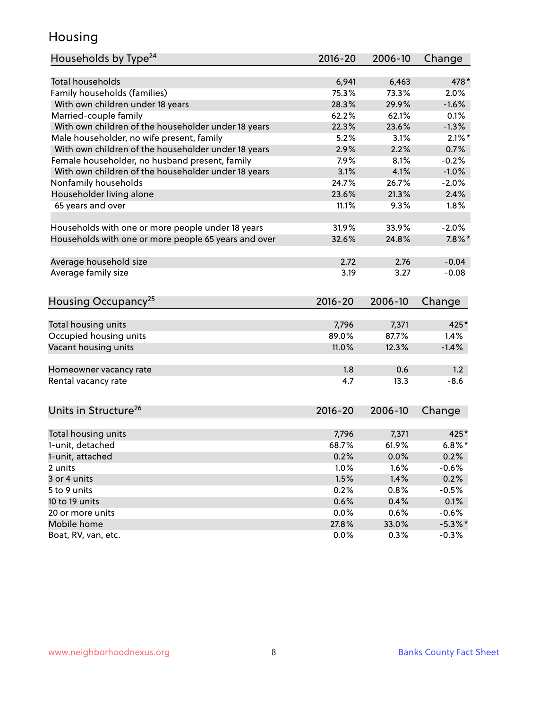### Housing

| Households by Type <sup>24</sup>                     | 2016-20 | 2006-10 | Change     |
|------------------------------------------------------|---------|---------|------------|
|                                                      |         |         |            |
| <b>Total households</b>                              | 6,941   | 6,463   | 478*       |
| Family households (families)                         | 75.3%   | 73.3%   | 2.0%       |
| With own children under 18 years                     | 28.3%   | 29.9%   | $-1.6%$    |
| Married-couple family                                | 62.2%   | 62.1%   | 0.1%       |
| With own children of the householder under 18 years  | 22.3%   | 23.6%   | $-1.3%$    |
| Male householder, no wife present, family            | 5.2%    | 3.1%    | $2.1\%$ *  |
| With own children of the householder under 18 years  | 2.9%    | 2.2%    | 0.7%       |
| Female householder, no husband present, family       | 7.9%    | 8.1%    | $-0.2%$    |
| With own children of the householder under 18 years  | 3.1%    | 4.1%    | $-1.0%$    |
| Nonfamily households                                 | 24.7%   | 26.7%   | $-2.0%$    |
| Householder living alone                             | 23.6%   | 21.3%   | 2.4%       |
| 65 years and over                                    | 11.1%   | 9.3%    | 1.8%       |
|                                                      |         |         |            |
| Households with one or more people under 18 years    | 31.9%   | 33.9%   | $-2.0%$    |
| Households with one or more people 65 years and over | 32.6%   | 24.8%   | $7.8\%$ *  |
|                                                      |         |         |            |
| Average household size                               | 2.72    | 2.76    | $-0.04$    |
| Average family size                                  | 3.19    | 3.27    | $-0.08$    |
| Housing Occupancy <sup>25</sup>                      | 2016-20 | 2006-10 | Change     |
|                                                      |         |         |            |
| Total housing units                                  | 7,796   | 7,371   | 425*       |
| Occupied housing units                               | 89.0%   | 87.7%   | 1.4%       |
| Vacant housing units                                 | 11.0%   | 12.3%   | $-1.4%$    |
|                                                      |         |         |            |
| Homeowner vacancy rate                               | 1.8     | 0.6     | 1.2        |
| Rental vacancy rate                                  | 4.7     | 13.3    | $-8.6$     |
| Units in Structure <sup>26</sup>                     | 2016-20 | 2006-10 |            |
|                                                      |         |         | Change     |
| Total housing units                                  | 7,796   | 7,371   | 425*       |
| 1-unit, detached                                     | 68.7%   | 61.9%   | $6.8\%$ *  |
| 1-unit, attached                                     | 0.2%    | $0.0\%$ | 0.2%       |
| 2 units                                              | 1.0%    | 1.6%    | $-0.6%$    |
| 3 or 4 units                                         | 1.5%    | 1.4%    | 0.2%       |
| 5 to 9 units                                         | 0.2%    | 0.8%    | $-0.5%$    |
| 10 to 19 units                                       | 0.6%    | 0.4%    | 0.1%       |
| 20 or more units                                     | 0.0%    | 0.6%    | $-0.6%$    |
| Mobile home                                          | 27.8%   | 33.0%   | $-5.3\%$ * |
| Boat, RV, van, etc.                                  | 0.0%    | 0.3%    | $-0.3%$    |
|                                                      |         |         |            |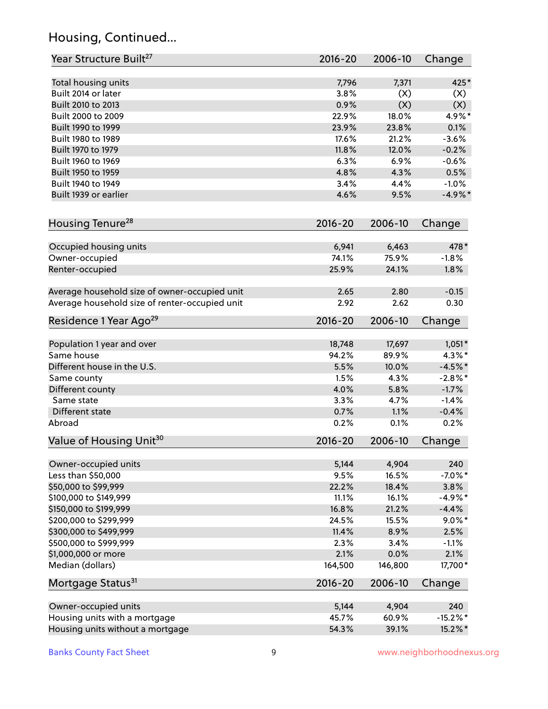# Housing, Continued...

| Year Structure Built <sup>27</sup>             | 2016-20     | 2006-10 | Change     |
|------------------------------------------------|-------------|---------|------------|
| Total housing units                            | 7,796       | 7,371   | 425*       |
| Built 2014 or later                            | 3.8%        | (X)     | (X)        |
| Built 2010 to 2013                             | 0.9%        | (X)     | (X)        |
| Built 2000 to 2009                             | 22.9%       | 18.0%   | 4.9%*      |
| Built 1990 to 1999                             | 23.9%       | 23.8%   | 0.1%       |
| Built 1980 to 1989                             | 17.6%       | 21.2%   | $-3.6%$    |
| Built 1970 to 1979                             | 11.8%       | 12.0%   | $-0.2%$    |
| Built 1960 to 1969                             | 6.3%        | 6.9%    | $-0.6%$    |
| Built 1950 to 1959                             | 4.8%        | 4.3%    | 0.5%       |
| Built 1940 to 1949                             | 3.4%        | 4.4%    | $-1.0%$    |
| Built 1939 or earlier                          | 4.6%        | 9.5%    | $-4.9%$ *  |
| Housing Tenure <sup>28</sup>                   | $2016 - 20$ | 2006-10 | Change     |
|                                                |             |         |            |
| Occupied housing units                         | 6,941       | 6,463   | 478*       |
| Owner-occupied                                 | 74.1%       | 75.9%   | $-1.8%$    |
| Renter-occupied                                | 25.9%       | 24.1%   | 1.8%       |
| Average household size of owner-occupied unit  | 2.65        | 2.80    | $-0.15$    |
| Average household size of renter-occupied unit | 2.92        | 2.62    | 0.30       |
| Residence 1 Year Ago <sup>29</sup>             | $2016 - 20$ | 2006-10 | Change     |
| Population 1 year and over                     | 18,748      | 17,697  | $1,051*$   |
| Same house                                     | 94.2%       | 89.9%   | $4.3\%$ *  |
| Different house in the U.S.                    | 5.5%        | 10.0%   | $-4.5%$ *  |
| Same county                                    | 1.5%        | 4.3%    | $-2.8\%$ * |
| Different county                               | 4.0%        | 5.8%    | $-1.7%$    |
| Same state                                     | 3.3%        | 4.7%    | $-1.4%$    |
| Different state                                | 0.7%        | 1.1%    | $-0.4%$    |
| Abroad                                         | 0.2%        | 0.1%    | 0.2%       |
| Value of Housing Unit <sup>30</sup>            | $2016 - 20$ | 2006-10 | Change     |
|                                                |             |         |            |
| Owner-occupied units                           | 5,144       | 4,904   | 240        |
| Less than \$50,000                             | 9.5%        | 16.5%   | $-7.0\%$ * |
| \$50,000 to \$99,999                           | 22.2%       | 18.4%   | 3.8%       |
| \$100,000 to \$149,999                         | 11.1%       | 16.1%   | $-4.9%$ *  |
| \$150,000 to \$199,999                         | 16.8%       | 21.2%   | $-4.4%$    |
| \$200,000 to \$299,999                         | 24.5%       | 15.5%   | $9.0\%$ *  |
| \$300,000 to \$499,999                         | 11.4%       | 8.9%    | 2.5%       |
| \$500,000 to \$999,999                         | 2.3%        | 3.4%    | $-1.1%$    |
| \$1,000,000 or more                            | 2.1%        | 0.0%    | 2.1%       |
| Median (dollars)                               | 164,500     | 146,800 | 17,700*    |
| Mortgage Status <sup>31</sup>                  | $2016 - 20$ | 2006-10 | Change     |
| Owner-occupied units                           | 5,144       | 4,904   | 240        |
| Housing units with a mortgage                  | 45.7%       | 60.9%   | $-15.2%$   |
| Housing units without a mortgage               | 54.3%       | 39.1%   | 15.2%*     |
|                                                |             |         |            |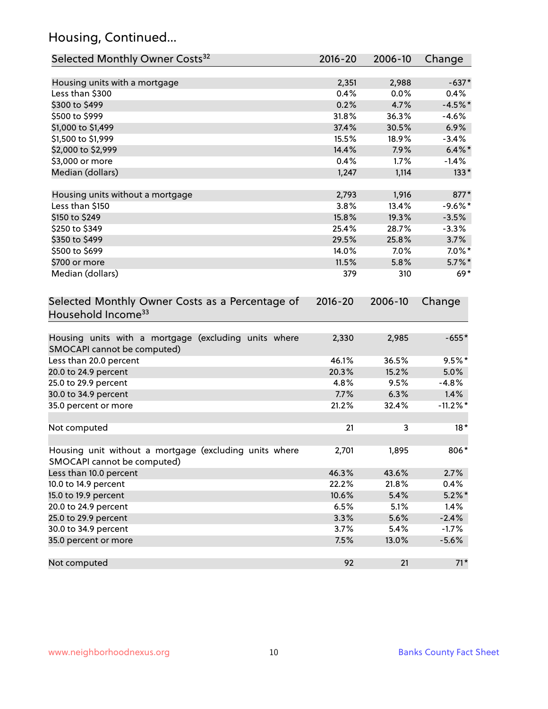# Housing, Continued...

| Selected Monthly Owner Costs <sup>32</sup>                                            | $2016 - 20$ | 2006-10 | Change      |
|---------------------------------------------------------------------------------------|-------------|---------|-------------|
| Housing units with a mortgage                                                         | 2,351       | 2,988   | $-637*$     |
| Less than \$300                                                                       | 0.4%        | 0.0%    | 0.4%        |
| \$300 to \$499                                                                        | 0.2%        | 4.7%    | $-4.5%$ *   |
| \$500 to \$999                                                                        | 31.8%       | 36.3%   | $-4.6%$     |
| \$1,000 to \$1,499                                                                    | 37.4%       | 30.5%   | 6.9%        |
| \$1,500 to \$1,999                                                                    | 15.5%       | 18.9%   | $-3.4%$     |
| \$2,000 to \$2,999                                                                    | 14.4%       | 7.9%    | $6.4\%$ *   |
| \$3,000 or more                                                                       | 0.4%        | 1.7%    | $-1.4\%$    |
| Median (dollars)                                                                      | 1,247       | 1,114   | $133*$      |
| Housing units without a mortgage                                                      | 2,793       | 1,916   | 877*        |
| Less than \$150                                                                       | 3.8%        | 13.4%   | $-9.6%$ *   |
| \$150 to \$249                                                                        | 15.8%       | 19.3%   | $-3.5%$     |
| \$250 to \$349                                                                        | 25.4%       | 28.7%   | $-3.3%$     |
| \$350 to \$499                                                                        | 29.5%       | 25.8%   | 3.7%        |
| \$500 to \$699                                                                        | 14.0%       | 7.0%    | $7.0\%$ *   |
| \$700 or more                                                                         | 11.5%       | 5.8%    | $5.7\%$ *   |
| Median (dollars)                                                                      | 379         | 310     | $69*$       |
| Selected Monthly Owner Costs as a Percentage of<br>Household Income <sup>33</sup>     | $2016 - 20$ | 2006-10 | Change      |
| Housing units with a mortgage (excluding units where<br>SMOCAPI cannot be computed)   | 2,330       | 2,985   | $-655*$     |
| Less than 20.0 percent                                                                | 46.1%       | 36.5%   | $9.5%$ *    |
| 20.0 to 24.9 percent                                                                  | 20.3%       | 15.2%   | 5.0%        |
| 25.0 to 29.9 percent                                                                  | 4.8%        | 9.5%    | $-4.8%$     |
| 30.0 to 34.9 percent                                                                  | 7.7%        | 6.3%    | 1.4%        |
| 35.0 percent or more                                                                  | 21.2%       | 32.4%   | $-11.2\%$ * |
| Not computed                                                                          | 21          | 3       | $18*$       |
| Housing unit without a mortgage (excluding units where<br>SMOCAPI cannot be computed) | 2,701       | 1,895   | 806*        |
| Less than 10.0 percent                                                                | 46.3%       | 43.6%   | 2.7%        |
| 10.0 to 14.9 percent                                                                  | 22.2%       | 21.8%   | 0.4%        |
| 15.0 to 19.9 percent                                                                  | 10.6%       | 5.4%    | $5.2\%$ *   |
| 20.0 to 24.9 percent                                                                  | 6.5%        | 5.1%    | 1.4%        |
| 25.0 to 29.9 percent                                                                  | 3.3%        | 5.6%    | $-2.4%$     |
| 30.0 to 34.9 percent                                                                  | 3.7%        | 5.4%    | $-1.7%$     |
| 35.0 percent or more                                                                  | 7.5%        | 13.0%   | $-5.6%$     |
| Not computed                                                                          | 92          | 21      | $71*$       |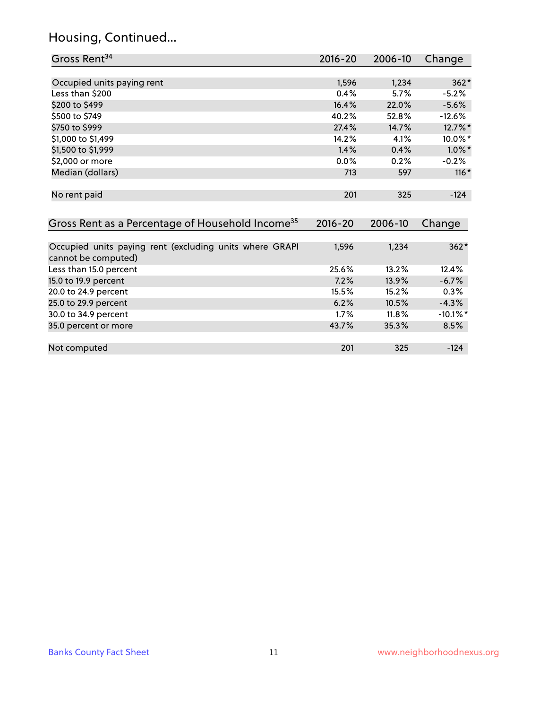# Housing, Continued...

| Gross Rent <sup>34</sup>                                     | 2016-20     | 2006-10 | Change      |
|--------------------------------------------------------------|-------------|---------|-------------|
|                                                              |             |         |             |
| Occupied units paying rent                                   | 1,596       | 1,234   | $362*$      |
| Less than \$200                                              | 0.4%        | 5.7%    | $-5.2%$     |
| \$200 to \$499                                               | 16.4%       | 22.0%   | $-5.6%$     |
| \$500 to \$749                                               | 40.2%       | 52.8%   | $-12.6%$    |
| \$750 to \$999                                               | 27.4%       | 14.7%   | 12.7%*      |
| \$1,000 to \$1,499                                           | 14.2%       | 4.1%    | 10.0%*      |
| \$1,500 to \$1,999                                           | 1.4%        | 0.4%    | $1.0\%$ *   |
| \$2,000 or more                                              | 0.0%        | 0.2%    | $-0.2%$     |
| Median (dollars)                                             | 713         | 597     | $116*$      |
| No rent paid                                                 | 201         | 325     | $-124$      |
| Gross Rent as a Percentage of Household Income <sup>35</sup> | $2016 - 20$ | 2006-10 | Change      |
| Occupied units paying rent (excluding units where GRAPI      | 1,596       | 1,234   | $362*$      |
| cannot be computed)                                          |             |         |             |
| Less than 15.0 percent                                       | 25.6%       | 13.2%   | 12.4%       |
| 15.0 to 19.9 percent                                         | 7.2%        | 13.9%   | $-6.7%$     |
| 20.0 to 24.9 percent                                         | 15.5%       | 15.2%   | 0.3%        |
| 25.0 to 29.9 percent                                         | 6.2%        | 10.5%   | $-4.3%$     |
| 30.0 to 34.9 percent                                         | 1.7%        | 11.8%   | $-10.1\%$ * |
| 35.0 percent or more                                         | 43.7%       | 35.3%   | 8.5%        |
| Not computed                                                 | 201         | 325     | $-124$      |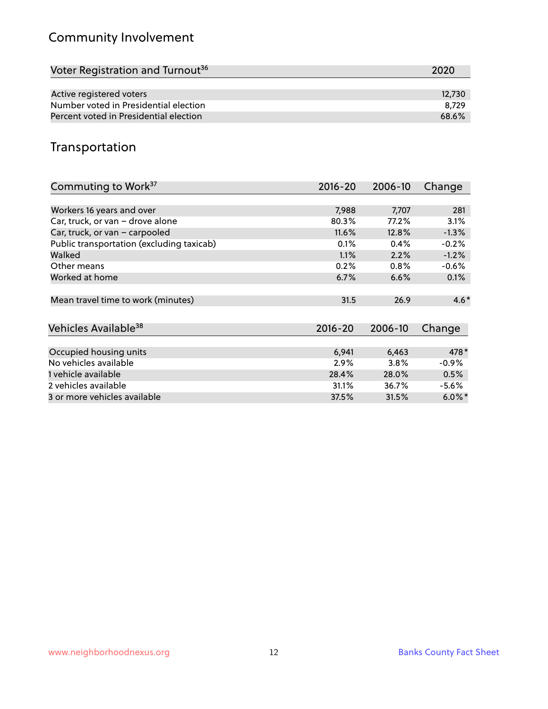# Community Involvement

| Voter Registration and Turnout <sup>36</sup> | 2020   |
|----------------------------------------------|--------|
|                                              |        |
| Active registered voters                     | 12.730 |
| Number voted in Presidential election        | 8.729  |
| Percent voted in Presidential election       | 68.6%  |

## Transportation

| Commuting to Work <sup>37</sup>           | 2016-20     | 2006-10 | Change    |
|-------------------------------------------|-------------|---------|-----------|
|                                           |             |         |           |
| Workers 16 years and over                 | 7,988       | 7,707   | 281       |
| Car, truck, or van - drove alone          | 80.3%       | 77.2%   | 3.1%      |
| Car, truck, or van - carpooled            | 11.6%       | 12.8%   | $-1.3%$   |
| Public transportation (excluding taxicab) | 0.1%        | 0.4%    | $-0.2%$   |
| Walked                                    | 1.1%        | 2.2%    | $-1.2%$   |
| Other means                               | 0.2%        | 0.8%    | $-0.6\%$  |
| Worked at home                            | 6.7%        | 6.6%    | 0.1%      |
| Mean travel time to work (minutes)        | 31.5        | 26.9    | $4.6*$    |
|                                           |             |         |           |
| Vehicles Available <sup>38</sup>          | $2016 - 20$ | 2006-10 | Change    |
| Occupied housing units                    | 6,941       | 6,463   | 478*      |
| No vehicles available                     | 2.9%        | 3.8%    | $-0.9%$   |
| 1 vehicle available                       | 28.4%       | 28.0%   | 0.5%      |
| 2 vehicles available                      | 31.1%       | 36.7%   | $-5.6\%$  |
| 3 or more vehicles available              | 37.5%       | 31.5%   | $6.0\%$ * |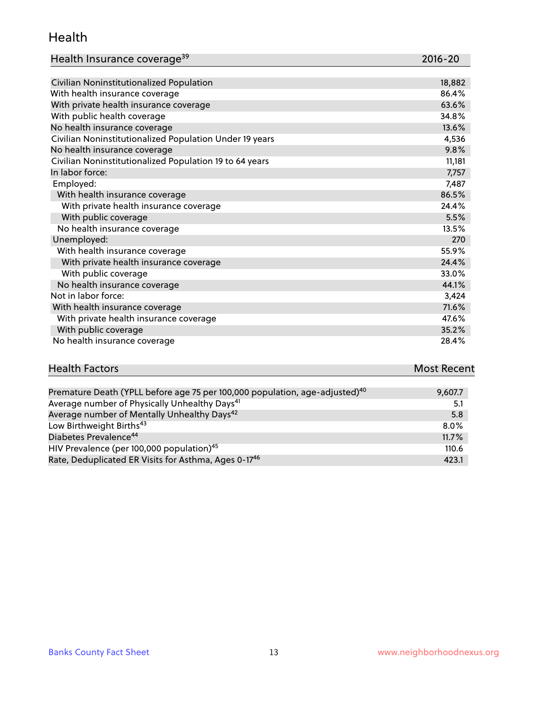#### Health

| Health Insurance coverage <sup>39</sup> | 2016-20 |
|-----------------------------------------|---------|
|-----------------------------------------|---------|

| Civilian Noninstitutionalized Population                | 18,882 |
|---------------------------------------------------------|--------|
| With health insurance coverage                          | 86.4%  |
| With private health insurance coverage                  | 63.6%  |
| With public health coverage                             | 34.8%  |
| No health insurance coverage                            | 13.6%  |
| Civilian Noninstitutionalized Population Under 19 years | 4,536  |
| No health insurance coverage                            | 9.8%   |
| Civilian Noninstitutionalized Population 19 to 64 years | 11,181 |
| In labor force:                                         | 7,757  |
| Employed:                                               | 7,487  |
| With health insurance coverage                          | 86.5%  |
| With private health insurance coverage                  | 24.4%  |
| With public coverage                                    | 5.5%   |
| No health insurance coverage                            | 13.5%  |
| Unemployed:                                             | 270    |
| With health insurance coverage                          | 55.9%  |
| With private health insurance coverage                  | 24.4%  |
| With public coverage                                    | 33.0%  |
| No health insurance coverage                            | 44.1%  |
| Not in labor force:                                     | 3,424  |
| With health insurance coverage                          | 71.6%  |
| With private health insurance coverage                  | 47.6%  |
| With public coverage                                    | 35.2%  |
| No health insurance coverage                            | 28.4%  |

| <b>Health Factors</b>                                                                   | <b>Most Recent</b> |
|-----------------------------------------------------------------------------------------|--------------------|
|                                                                                         |                    |
| Premature Death (YPLL before age 75 per 100,000 population, age-adjusted) <sup>40</sup> | 9.607.7            |

| Fielilatule Death (The Deloie age 75 per 100,000 population, age-adjusted) | 7,001.7 |
|----------------------------------------------------------------------------|---------|
| Average number of Physically Unhealthy Days <sup>41</sup>                  | 5.1     |
| Average number of Mentally Unhealthy Days <sup>42</sup>                    | 5.8     |
| Low Birthweight Births <sup>43</sup>                                       | $8.0\%$ |
| Diabetes Prevalence <sup>44</sup>                                          | 11.7%   |
| HIV Prevalence (per 100,000 population) <sup>45</sup>                      | 110.6   |
| Rate, Deduplicated ER Visits for Asthma, Ages 0-17 <sup>46</sup>           | 423.1   |